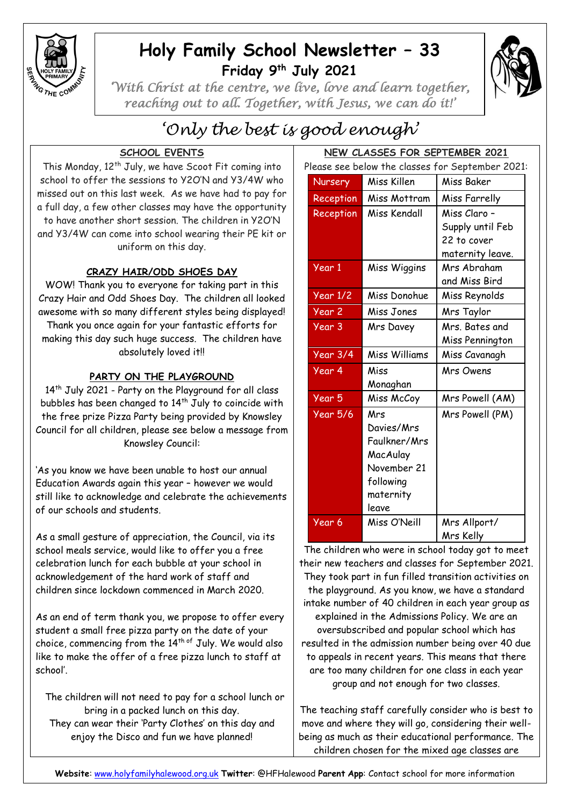

# **Holy Family School Newsletter – 33 Friday 9 th July 2021**



*'With Christ at the centre, we live, love and learn together, reaching out to all. Together, with Jesus, we can do it!'* 

# *'Only the best is good enough'*

## **SCHOOL EVENTS**

This Monday, 12<sup>th</sup> July, we have Scoot Fit coming into school to offer the sessions to Y2O'N and Y3/4W who missed out on this last week. As we have had to pay for a full day, a few other classes may have the opportunity to have another short session. The children in Y2O'N and Y3/4W can come into school wearing their PE kit or uniform on this day.

## **CRAZY HAIR/ODD SHOES DAY**

WOW! Thank you to everyone for taking part in this Crazy Hair and Odd Shoes Day. The children all looked awesome with so many different styles being displayed!

Thank you once again for your fantastic efforts for making this day such huge success. The children have absolutely loved it!!

### **PARTY ON THE PLAYGROUND**

14<sup>th</sup> July 2021 - Party on the Playground for all class bubbles has been changed to 14<sup>th</sup> July to coincide with the free prize Pizza Party being provided by Knowsley Council for all children, please see below a message from Knowsley Council:

'As you know we have been unable to host our annual Education Awards again this year – however we would still like to acknowledge and celebrate the achievements of our schools and students.

As a small gesture of appreciation, the Council, via its school meals service, would like to offer you a free celebration lunch for each bubble at your school in acknowledgement of the hard work of staff and children since lockdown commenced in March 2020.

As an end of term thank you, we propose to offer every student a small free pizza party on the date of your choice, commencing from the  $14<sup>th of</sup>$  July. We would also like to make the offer of a free pizza lunch to staff at school'.

 The children will not need to pay for a school lunch or bring in a packed lunch on this day. They can wear their 'Party Clothes' on this day and enjoy the Disco and fun we have planned!

| NEW CLASSES FOR SEPTEMBER 2021                   |                       |                      |                  |
|--------------------------------------------------|-----------------------|----------------------|------------------|
| Please see below the classes for September 2021: |                       |                      |                  |
|                                                  | <b>Nursery</b>        | Miss Killen          | Miss Baker       |
|                                                  | Reception             | Miss Mottram         | Miss Farrelly    |
|                                                  | Reception             | Miss Kendall         | Miss Claro -     |
|                                                  |                       |                      | Supply until Feb |
|                                                  |                       |                      | 22 to cover      |
|                                                  |                       |                      | maternity leave. |
|                                                  | Year 1                | Miss Wiggins         | Mrs Abraham      |
|                                                  |                       |                      | and Miss Bird    |
|                                                  | $\overline{Year 1/2}$ | Miss Donohue         | Miss Reynolds    |
|                                                  | Year <sub>2</sub>     | Miss Jones           | Mrs Taylor       |
|                                                  | Year 3                | Mrs Davey            | Mrs. Bates and   |
|                                                  |                       |                      | Miss Pennington  |
|                                                  | Year 3/4              | <b>Miss Williams</b> | Miss Cavanagh    |
|                                                  | Year 4                | Miss                 | <b>Mrs Owens</b> |
|                                                  |                       | Monaghan             |                  |
|                                                  | Year 5                | Miss McCoy           | Mrs Powell (AM)  |
|                                                  | <b>Year 5/6</b>       | Mrs                  | Mrs Powell (PM)  |
|                                                  |                       | Davies/Mrs           |                  |
|                                                  |                       | Faulkner/Mrs         |                  |
|                                                  |                       | MacAulay             |                  |
|                                                  |                       | November 21          |                  |
|                                                  |                       | following            |                  |
|                                                  |                       | maternity            |                  |
|                                                  |                       | leave                |                  |
|                                                  | Year 6                | Miss O'Neill         | Mrs Allport/     |
|                                                  |                       |                      | Mrs Kelly        |

The children who were in school today got to meet their new teachers and classes for September 2021. They took part in fun filled transition activities on the playground. As you know, we have a standard intake number of 40 children in each year group as explained in the Admissions Policy. We are an oversubscribed and popular school which has resulted in the admission number being over 40 due to appeals in recent years. This means that there are too many children for one class in each year group and not enough for two classes.

The teaching staff carefully consider who is best to move and where they will go, considering their wellbeing as much as their educational performance. The children chosen for the mixed age classes are